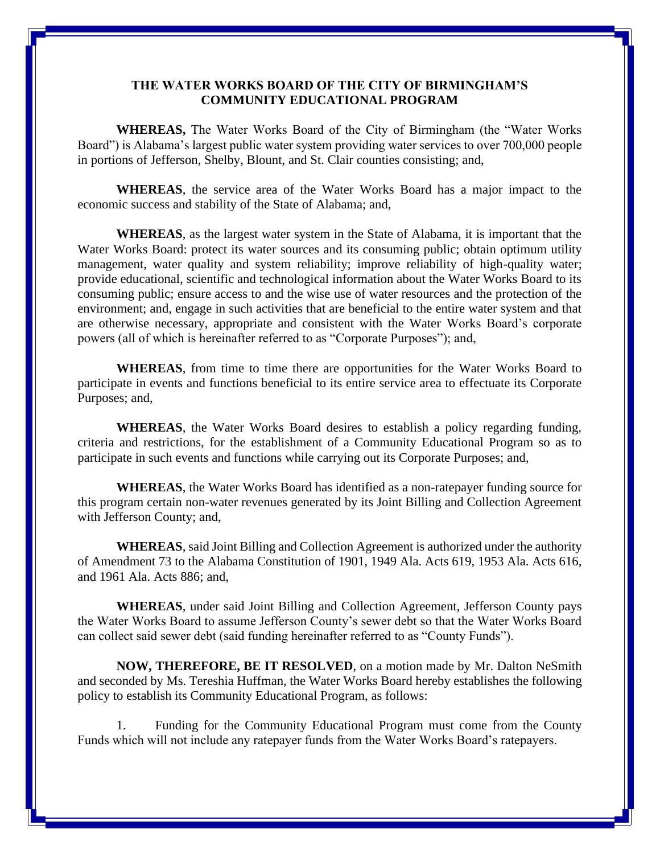## **THE WATER WORKS BOARD OF THE CITY OF BIRMINGHAM'S COMMUNITY EDUCATIONAL PROGRAM**

**WHEREAS,** The Water Works Board of the City of Birmingham (the "Water Works Board") is Alabama's largest public water system providing water services to over 700,000 people in portions of Jefferson, Shelby, Blount, and St. Clair counties consisting; and,

**WHEREAS**, the service area of the Water Works Board has a major impact to the economic success and stability of the State of Alabama; and,

**WHEREAS**, as the largest water system in the State of Alabama, it is important that the Water Works Board: protect its water sources and its consuming public; obtain optimum utility management, water quality and system reliability; improve reliability of high-quality water; provide educational, scientific and technological information about the Water Works Board to its consuming public; ensure access to and the wise use of water resources and the protection of the environment; and, engage in such activities that are beneficial to the entire water system and that are otherwise necessary, appropriate and consistent with the Water Works Board's corporate powers (all of which is hereinafter referred to as "Corporate Purposes"); and,

**WHEREAS**, from time to time there are opportunities for the Water Works Board to participate in events and functions beneficial to its entire service area to effectuate its Corporate Purposes; and,

**WHEREAS**, the Water Works Board desires to establish a policy regarding funding, criteria and restrictions, for the establishment of a Community Educational Program so as to participate in such events and functions while carrying out its Corporate Purposes; and,

**WHEREAS**, the Water Works Board has identified as a non-ratepayer funding source for this program certain non-water revenues generated by its Joint Billing and Collection Agreement with Jefferson County; and,

**WHEREAS**, said Joint Billing and Collection Agreement is authorized under the authority of Amendment 73 to the Alabama Constitution of 1901, 1949 Ala. Acts 619, 1953 Ala. Acts 616, and 1961 Ala. Acts 886; and,

**WHEREAS**, under said Joint Billing and Collection Agreement, Jefferson County pays the Water Works Board to assume Jefferson County's sewer debt so that the Water Works Board can collect said sewer debt (said funding hereinafter referred to as "County Funds").

**NOW, THEREFORE, BE IT RESOLVED**, on a motion made by Mr. Dalton NeSmith and seconded by Ms. Tereshia Huffman, the Water Works Board hereby establishes the following policy to establish its Community Educational Program, as follows:

1. Funding for the Community Educational Program must come from the County Funds which will not include any ratepayer funds from the Water Works Board's ratepayers.